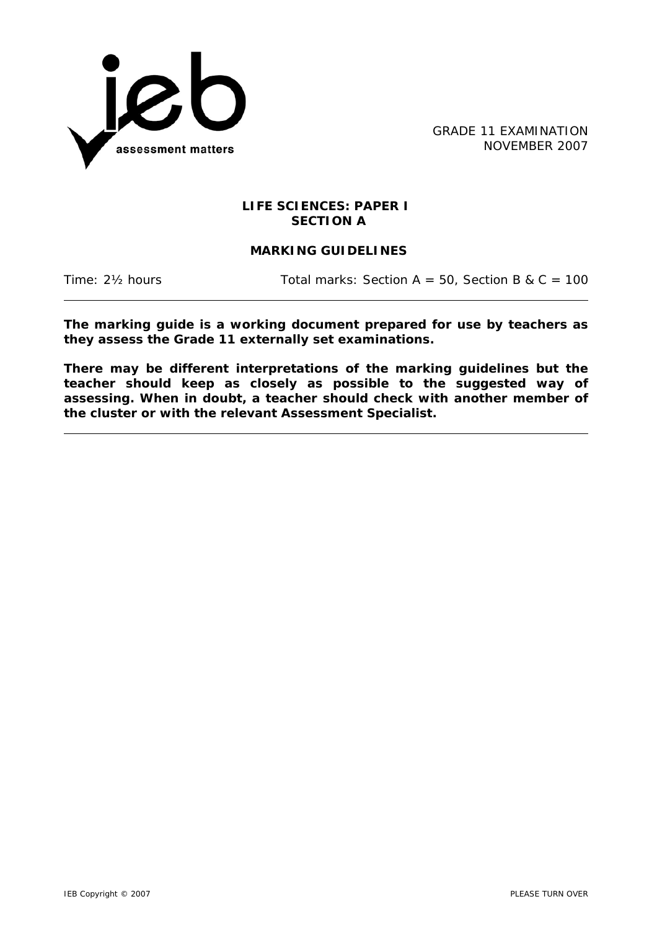

GRADE 11 EXAMINATION NOVEMBER 2007

## **LIFE SCIENCES: PAPER I SECTION A**

# **MARKING GUIDELINES**

Time:  $2\frac{1}{2}$  hours Total marks: Section A = 50, Section B & C = 100

**The marking guide is a working document prepared for use by teachers as they assess the Grade 11 externally set examinations.** 

**There may be different interpretations of the marking guidelines but the teacher should keep as closely as possible to the suggested way of assessing. When in doubt, a teacher should check with another member of the cluster or with the relevant Assessment Specialist.**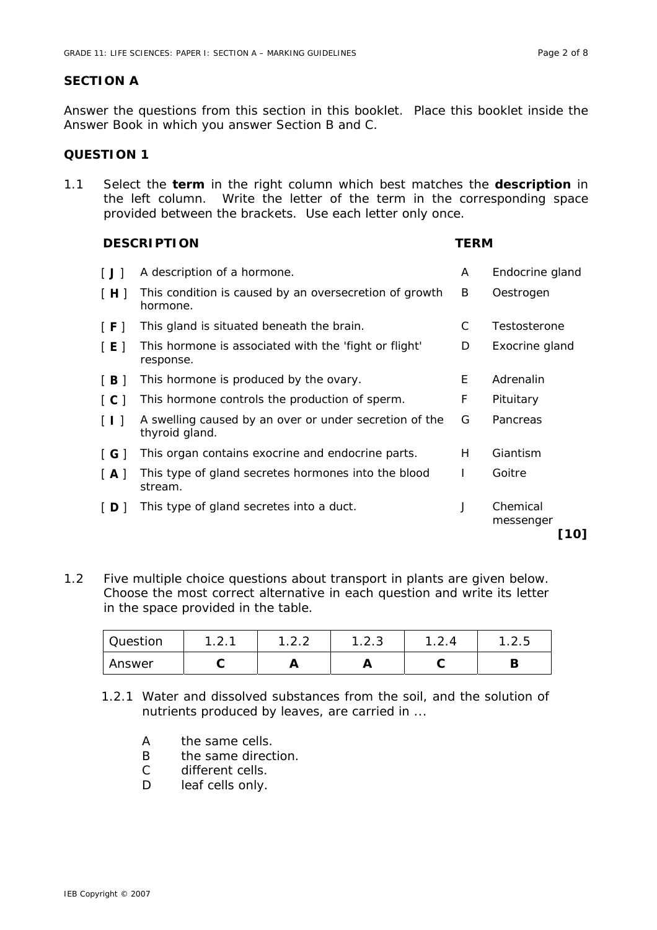### **SECTION A**

Answer the questions from this section in this booklet. Place this booklet inside the Answer Book in which you answer Section B and C.

# **QUESTION 1**

1.1 Select the **term** in the right column which best matches the **description** in the left column. Write the letter of the term in the corresponding space provided between the brackets. Use each letter only once.

### **DESCRIPTION TERM**

| [J]                 | A description of a hormone.                                              | A  | Endocrine gland               |
|---------------------|--------------------------------------------------------------------------|----|-------------------------------|
| [H]                 | This condition is caused by an oversecretion of growth<br>hormone.       | B  | Oestrogen                     |
| [ F ]               | This gland is situated beneath the brain.                                | С  | Testosterone                  |
| [E]                 | This hormone is associated with the 'fight or flight'<br>response.       | D  | Exocrine gland                |
| [B]                 | This hormone is produced by the ovary.                                   | E. | Adrenalin                     |
| $\lceil C \rceil$   | This hormone controls the production of sperm.                           | F  | Pituitary                     |
| $\lceil$ 1 1        | A swelling caused by an over or under secretion of the<br>thyroid gland. | G  | Pancreas                      |
| $\lceil$ G $\rceil$ | This organ contains exocrine and endocrine parts.                        | H  | Giantism                      |
| $\vert$ A $\vert$   | This type of gland secretes hormones into the blood<br>stream.           | I  | Goitre                        |
| ID I                | This type of gland secretes into a duct.                                 | J  | Chemical<br>messenger<br>10 I |

1.2 Five multiple choice questions about transport in plants are given below. Choose the most correct alternative in each question and write its letter in the space provided in the table.

| Question | ົ່<br><u>.</u> |     | ⌒<br>ن. ∠. ا | . <u>.</u> . | ن . د |
|----------|----------------|-----|--------------|--------------|-------|
| Answer   |                | . . | Л,           |              |       |

- 1.2.1 Water and dissolved substances from the soil, and the solution of nutrients produced by leaves, are carried in ...
	- A the same cells.
	- B the same direction.
	- C different cells.
	- D leaf cells only.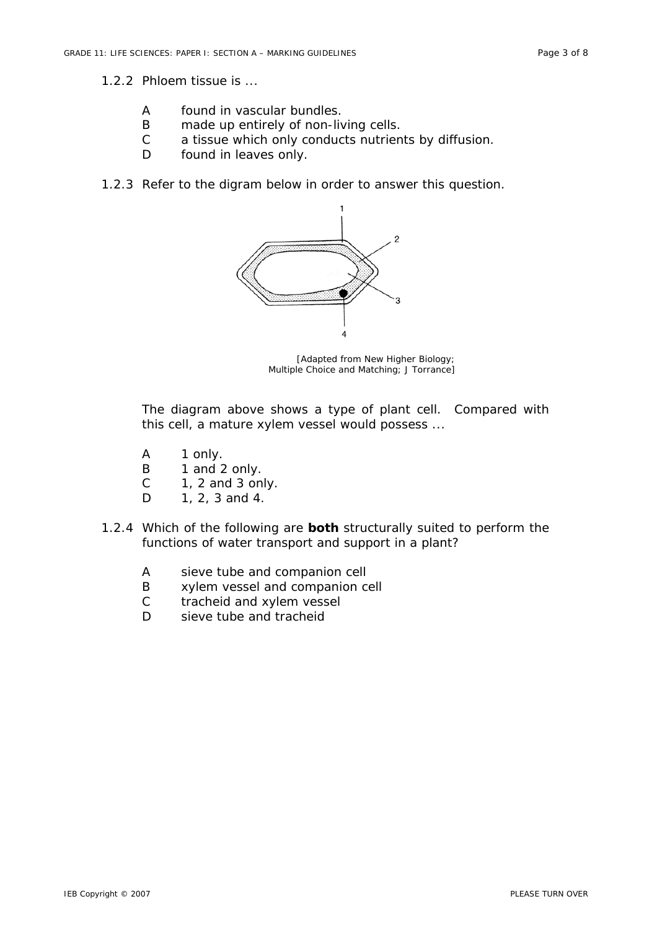#### 1.2.2 Phloem tissue is ...

- A found in vascular bundles.
- B made up entirely of non-living cells.
- C a tissue which only conducts nutrients by diffusion.
- D found in leaves only.
- 1.2.3 Refer to the digram below in order to answer this question.



[Adapted from *New Higher Biology; Multiple Choice and Matching*; J Torrance]

The diagram above shows a type of plant cell. Compared with this cell, a mature xylem vessel would possess ...

- A 1 only.
- B 1 and 2 only.
- $C = 1$ , 2 and 3 only.
- D 1, 2, 3 and 4.
- 1.2.4 Which of the following are **both** structurally suited to perform the functions of water transport and support in a plant?
	- A sieve tube and companion cell
	- B xylem vessel and companion cell
	- C tracheid and xylem vessel
	- D sieve tube and tracheid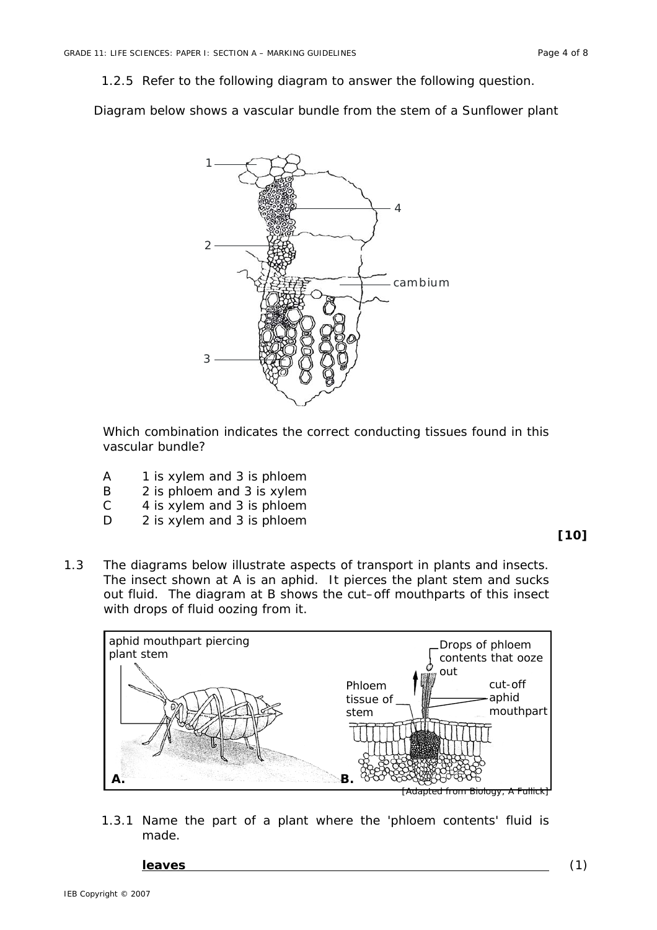1.2.5 Refer to the following diagram to answer the following question.

Diagram below shows a vascular bundle from the stem of a Sunflower plant



Which combination indicates the correct conducting tissues found in this vascular bundle?

- A 1 is xylem and 3 is phloem
- B 2 is phloem and 3 is xylem
- C 4 is xylem and 3 is phloem
- D 2 is xylem and 3 is phloem

#### **[10]**

1.3 The diagrams below illustrate aspects of transport in plants and insects. The insect shown at A is an aphid. It pierces the plant stem and sucks out fluid. The diagram at B shows the cut–off mouthparts of this insect with drops of fluid oozing from it.



1.3.1 Name the part of a plant where the 'phloem contents' fluid is made.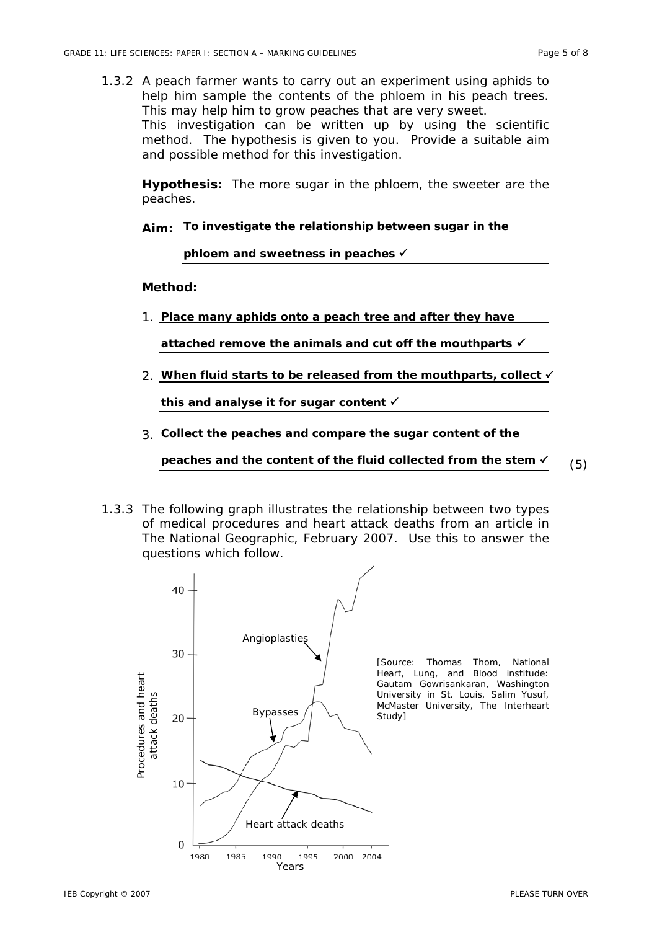1.3.2 A peach farmer wants to carry out an experiment using aphids to help him sample the contents of the phloem in his peach trees. This may help him to grow peaches that are very sweet. This investigation can be written up by using the scientific method. The hypothesis is given to you. Provide a suitable aim and possible method for this investigation.

**Hypothesis:** The more sugar in the phloem, the sweeter are the peaches.

```
Aim: 
To investigate the relationship between sugar in the
```
**phloem and sweetness in peaches** 9

**Method:** 

1. **Place many aphids onto a peach tree and after they have** 

**attached remove the animals and cut off the mouthparts** 9

2. **When fluid starts to be released from the mouthparts, collect** 9

**this and analyse it for sugar content** 9

3. **Collect the peaches and compare the sugar content of the** 

peaches and the content of the fluid collected from the stem  $\checkmark$  (5)

1.3.3 The following graph illustrates the relationship between two types of medical procedures and heart attack deaths from an article in *The National Geographic*, February 2007. Use this to answer the questions which follow.

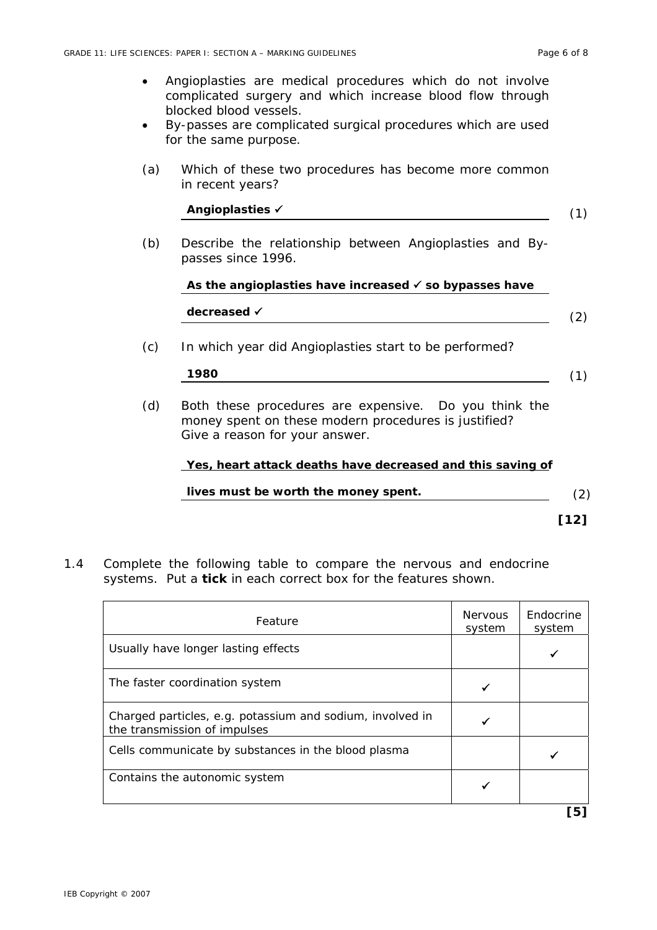- Angioplasties are medical procedures which do not involve complicated surgery and which increase blood flow through blocked blood vessels.
- By-passes are complicated surgical procedures which are used for the same purpose.
- (a) Which of these two procedures has become more common in recent years?

| Angioplasties √                                                                                                                                 |
|-------------------------------------------------------------------------------------------------------------------------------------------------|
| Describe the relationship between Angioplasties and By-<br>passes since 1996.                                                                   |
| As the angioplasties have increased $\checkmark$ so bypasses have                                                                               |
| decreased √                                                                                                                                     |
| In which year did Angioplasties start to be performed?                                                                                          |
| 1980                                                                                                                                            |
| Both these procedures are expensive. Do you think the<br>money spent on these modern procedures is justified?<br>Give a reason for your answer. |
| Yes, heart attack deaths have decreased and this saving of                                                                                      |
| lives must be worth the money spent.                                                                                                            |
|                                                                                                                                                 |

1.4 Complete the following table to compare the nervous and endocrine systems. Put a **tick** in each correct box for the features shown.

| Feature                                                                                   | <b>Nervous</b><br>system | Endocrine<br>system |
|-------------------------------------------------------------------------------------------|--------------------------|---------------------|
| Usually have longer lasting effects                                                       |                          |                     |
| The faster coordination system                                                            |                          |                     |
| Charged particles, e.g. potassium and sodium, involved in<br>the transmission of impulses |                          |                     |
| Cells communicate by substances in the blood plasma                                       |                          |                     |
| Contains the autonomic system                                                             |                          |                     |
|                                                                                           |                          | רכז                 |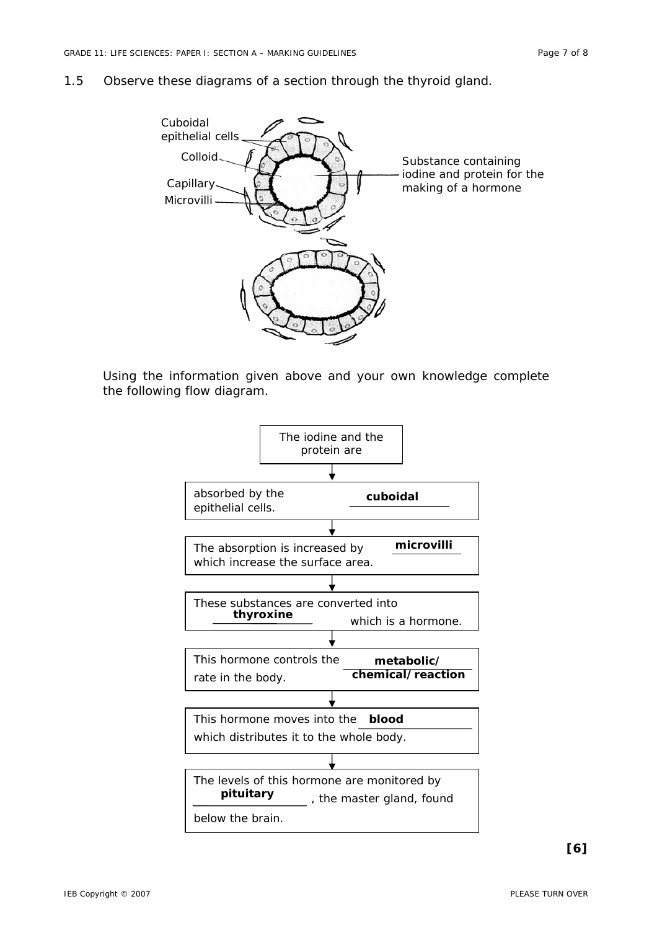#### 1.5 Observe these diagrams of a section through the thyroid gland.



Using the information given above and your own knowledge complete the following flow diagram.